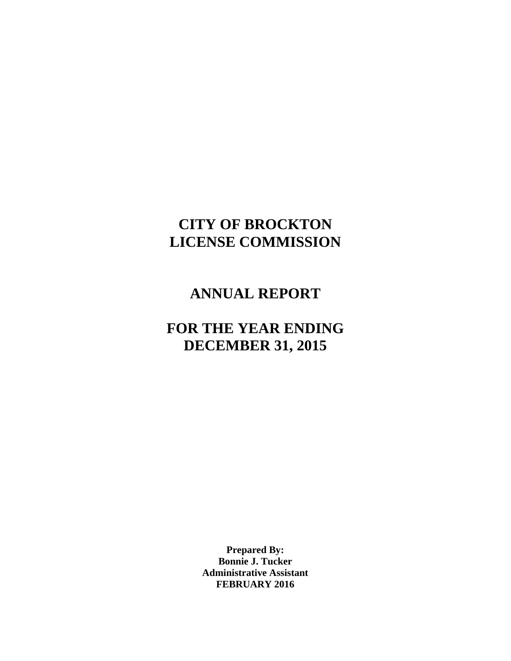# **CITY OF BROCKTON LICENSE COMMISSION**

### **ANNUAL REPORT**

## **FOR THE YEAR ENDING DECEMBER 31, 2015**

**Prepared By: Bonnie J. Tucker Administrative Assistant FEBRUARY 2016**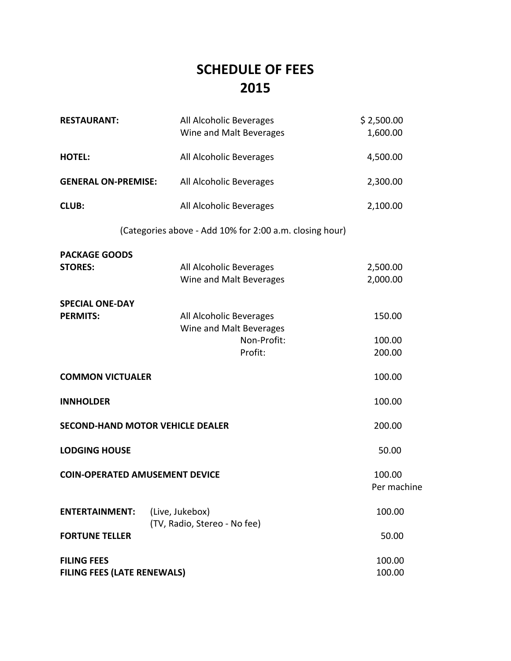# **SCHEDULE OF FEES 2015**

| <b>RESTAURANT:</b>                                       | All Alcoholic Beverages<br>Wine and Malt Beverages                           | \$2,500.00<br>1,600.00     |  |  |  |  |  |  |
|----------------------------------------------------------|------------------------------------------------------------------------------|----------------------------|--|--|--|--|--|--|
| <b>HOTEL:</b>                                            | All Alcoholic Beverages                                                      | 4,500.00                   |  |  |  |  |  |  |
| <b>GENERAL ON-PREMISE:</b>                               | All Alcoholic Beverages                                                      |                            |  |  |  |  |  |  |
| <b>CLUB:</b>                                             | All Alcoholic Beverages                                                      | 2,100.00                   |  |  |  |  |  |  |
| (Categories above - Add 10% for 2:00 a.m. closing hour)  |                                                                              |                            |  |  |  |  |  |  |
| <b>PACKAGE GOODS</b><br><b>STORES:</b>                   | All Alcoholic Beverages<br>Wine and Malt Beverages                           | 2,500.00<br>2,000.00       |  |  |  |  |  |  |
| <b>SPECIAL ONE-DAY</b><br><b>PERMITS:</b>                | All Alcoholic Beverages<br>Wine and Malt Beverages<br>Non-Profit:<br>Profit: | 150.00<br>100.00<br>200.00 |  |  |  |  |  |  |
| <b>COMMON VICTUALER</b>                                  |                                                                              | 100.00                     |  |  |  |  |  |  |
| <b>INNHOLDER</b>                                         |                                                                              | 100.00                     |  |  |  |  |  |  |
| <b>SECOND-HAND MOTOR VEHICLE DEALER</b>                  | 200.00                                                                       |                            |  |  |  |  |  |  |
| <b>LODGING HOUSE</b>                                     |                                                                              | 50.00                      |  |  |  |  |  |  |
| <b>COIN-OPERATED AMUSEMENT DEVICE</b>                    | 100.00<br>Per machine                                                        |                            |  |  |  |  |  |  |
| <b>ENTERTAINMENT:</b>                                    | (Live, Jukebox)<br>(TV, Radio, Stereo - No fee)                              | 100.00                     |  |  |  |  |  |  |
| <b>FORTUNE TELLER</b>                                    |                                                                              | 50.00                      |  |  |  |  |  |  |
| <b>FILING FEES</b><br><b>FILING FEES (LATE RENEWALS)</b> |                                                                              | 100.00<br>100.00           |  |  |  |  |  |  |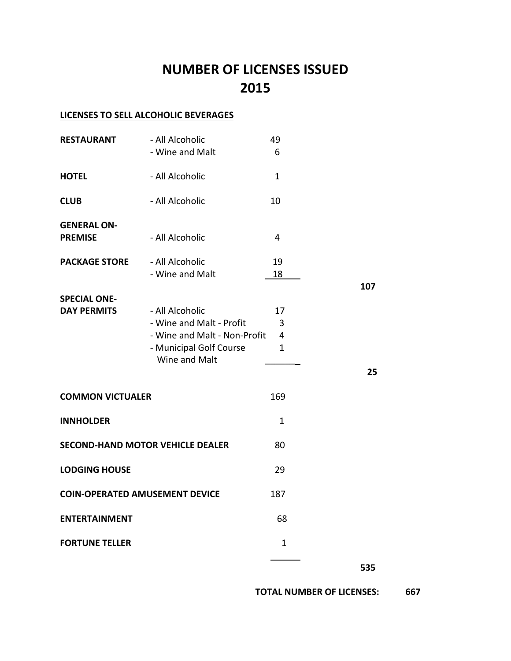## **NUMBER OF LICENSES ISSUED 2015**

### **LICENSES TO SELL ALCOHOLIC BEVERAGES**

| <b>RESTAURANT</b>                         | - All Alcoholic<br>- Wine and Malt                                                                                      | 49<br>6                      |     |
|-------------------------------------------|-------------------------------------------------------------------------------------------------------------------------|------------------------------|-----|
| <b>HOTEL</b>                              | - All Alcoholic                                                                                                         | $\mathbf{1}$                 |     |
| <b>CLUB</b>                               | - All Alcoholic                                                                                                         | 10                           |     |
| <b>GENERAL ON-</b><br><b>PREMISE</b>      | - All Alcoholic                                                                                                         | 4                            |     |
| <b>PACKAGE STORE</b>                      | - All Alcoholic<br>- Wine and Malt                                                                                      | 19<br>18                     |     |
| <b>SPECIAL ONE-</b><br><b>DAY PERMITS</b> | - All Alcoholic<br>- Wine and Malt - Profit<br>- Wine and Malt - Non-Profit<br>- Municipal Golf Course<br>Wine and Malt | 17<br>3<br>4<br>$\mathbf{1}$ | 107 |
|                                           |                                                                                                                         |                              | 25  |
| <b>COMMON VICTUALER</b>                   |                                                                                                                         | 169                          |     |
| <b>INNHOLDER</b>                          |                                                                                                                         | $\mathbf{1}$                 |     |
| <b>SECOND-HAND MOTOR VEHICLE DEALER</b>   |                                                                                                                         | 80                           |     |
| <b>LODGING HOUSE</b>                      |                                                                                                                         | 29                           |     |
| <b>COIN-OPERATED AMUSEMENT DEVICE</b>     |                                                                                                                         | 187                          |     |
| <b>ENTERTAINMENT</b>                      |                                                                                                                         | 68                           |     |
| <b>FORTUNE TELLER</b>                     |                                                                                                                         | $\mathbf 1$                  |     |
|                                           |                                                                                                                         |                              | 535 |

 **TOTAL NUMBER OF LICENSES: 667**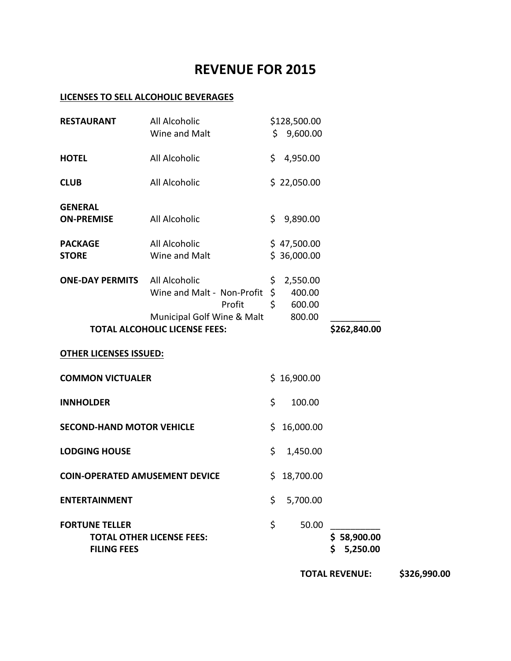### **REVENUE FOR 2015**

#### **LICENSES TO SELL ALCOHOLIC BEVERAGES**

|                                             |                                      |     |                            | <b>TOTAL REVENUE:</b>     | \$326,990.00 |
|---------------------------------------------|--------------------------------------|-----|----------------------------|---------------------------|--------------|
| <b>FORTUNE TELLER</b><br><b>FILING FEES</b> | <b>TOTAL OTHER LICENSE FEES:</b>     | \$  | 50.00                      | \$58,900.00<br>\$5,250.00 |              |
|                                             |                                      |     |                            |                           |              |
| <b>ENTERTAINMENT</b>                        |                                      | \$  | 5,700.00                   |                           |              |
| <b>COIN-OPERATED AMUSEMENT DEVICE</b>       |                                      | \$. | 18,700.00                  |                           |              |
| <b>LODGING HOUSE</b>                        |                                      | \$  | 1,450.00                   |                           |              |
| <b>SECOND-HAND MOTOR VEHICLE</b>            |                                      | \$  | 16,000.00                  |                           |              |
| <b>INNHOLDER</b>                            |                                      | \$  | 100.00                     |                           |              |
| <b>COMMON VICTUALER</b>                     |                                      |     | \$16,900.00                |                           |              |
| <b>OTHER LICENSES ISSUED:</b>               |                                      |     |                            |                           |              |
| <b>TOTAL ALCOHOLIC LICENSE FEES:</b>        |                                      |     |                            | \$262,840.00              |              |
|                                             | Profit<br>Municipal Golf Wine & Malt | \$  | 600.00<br>800.00           |                           |              |
|                                             | Wine and Malt - Non-Profit           |     | $\zeta$<br>400.00          |                           |              |
| <b>ONE-DAY PERMITS</b>                      | All Alcoholic                        | \$. | 2,550.00                   |                           |              |
| <b>PACKAGE</b><br><b>STORE</b>              | All Alcoholic<br>Wine and Malt       |     | \$47,500.00<br>\$36,000.00 |                           |              |
| <b>GENERAL</b><br><b>ON-PREMISE</b>         | All Alcoholic                        | \$. | 9,890.00                   |                           |              |
| <b>CLUB</b>                                 | All Alcoholic                        |     | \$22,050.00                |                           |              |
| <b>HOTEL</b>                                | All Alcoholic                        | \$  | 4,950.00                   |                           |              |
|                                             | Wine and Malt                        |     | \$9,600.00                 |                           |              |
| <b>RESTAURANT</b>                           | All Alcoholic                        |     | \$128,500.00               |                           |              |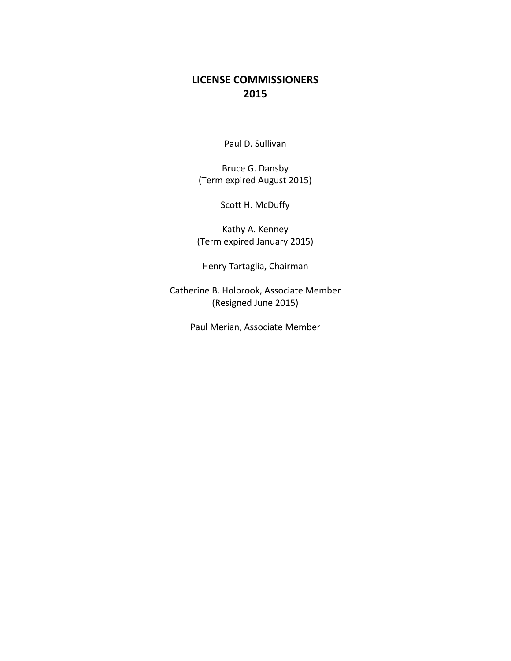### **LICENSE COMMISSIONERS 2015**

Paul D. Sullivan

Bruce G. Dansby (Term expired August 2015)

Scott H. McDuffy

Kathy A. Kenney (Term expired January 2015)

Henry Tartaglia, Chairman

Catherine B. Holbrook, Associate Member (Resigned June 2015)

Paul Merian, Associate Member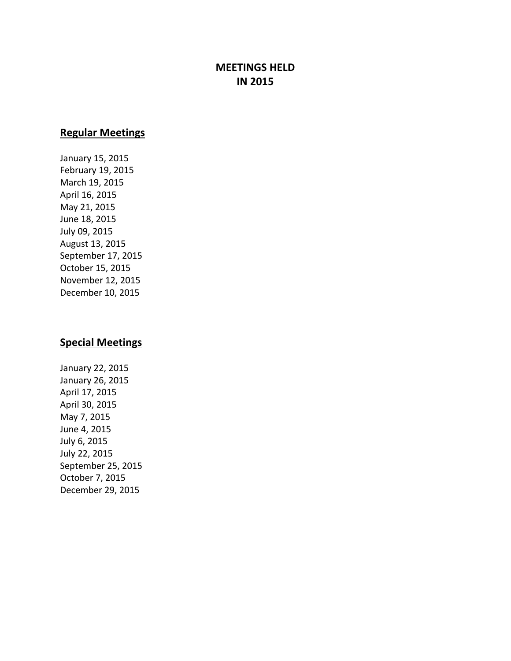### **MEETINGS HELD IN 2015**

#### **Regular Meetings**

January 15, 2015 February 19, 2015 March 19, 2015 April 16, 2015 May 21, 2015 June 18, 2015 July 09, 2015 August 13, 2015 September 17, 2015 October 15, 2015 November 12, 2015 December 10, 2015

### **Special Meetings**

January 22, 2015 January 26, 2015 April 17, 2015 April 30, 2015 May 7, 2015 June 4, 2015 July 6, 2015 July 22, 2015 September 25, 2015 October 7, 2015 December 29, 2015